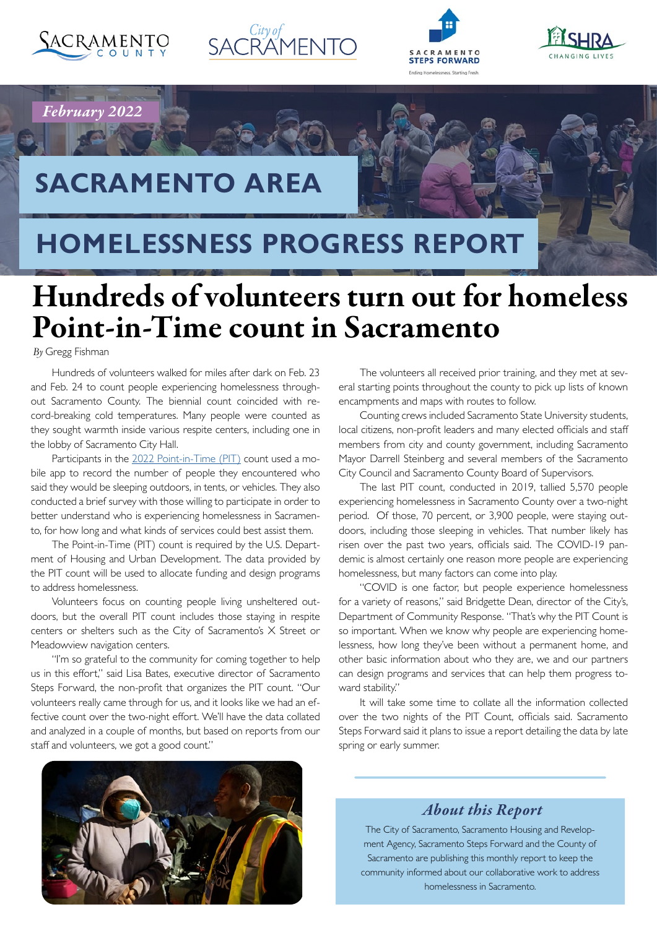

*February 2022*







## **SACRAMENTO AREA**

## **HOMELESSNESS PROGRESS REPORT**

# Hundreds of volunteers turn out for homeless Point-in-Time count in Sacramento

*By* Gregg Fishman

Hundreds of volunteers walked for miles after dark on Feb. 23 and Feb. 24 to count people experiencing homelessness throughout Sacramento County. The biennial count coincided with record-breaking cold temperatures. Many people were counted as they sought warmth inside various respite centers, including one in the lobby of Sacramento City Hall.

Participants in the [2022 Point-in-Time \(PIT\)](https://sacramentostepsforward.org/continuum-of-care-point-in-time-pit-count/2022-pit-count/) count used a mobile app to record the number of people they encountered who said they would be sleeping outdoors, in tents, or vehicles. They also conducted a brief survey with those willing to participate in order to better understand who is experiencing homelessness in Sacramento, for how long and what kinds of services could best assist them.

The Point-in-Time (PIT) count is required by the U.S. Department of Housing and Urban Development. The data provided by the PIT count will be used to allocate funding and design programs to address homelessness.

Volunteers focus on counting people living unsheltered outdoors, but the overall PIT count includes those staying in respite centers or shelters such as the City of Sacramento's X Street or Meadowview navigation centers.

"I'm so grateful to the community for coming together to help us in this effort," said Lisa Bates, executive director of Sacramento Steps Forward, the non-profit that organizes the PIT count. "Our volunteers really came through for us, and it looks like we had an effective count over the two-night effort. We'll have the data collated and analyzed in a couple of months, but based on reports from our staff and volunteers, we got a good count."

The volunteers all received prior training, and they met at several starting points throughout the county to pick up lists of known encampments and maps with routes to follow.

Counting crews included Sacramento State University students, local citizens, non-profit leaders and many elected officials and staff members from city and county government, including Sacramento Mayor Darrell Steinberg and several members of the Sacramento City Council and Sacramento County Board of Supervisors.

The last PIT count, conducted in 2019, tallied 5,570 people experiencing homelessness in Sacramento County over a two-night period. Of those, 70 percent, or 3,900 people, were staying outdoors, including those sleeping in vehicles. That number likely has risen over the past two years, officials said. The COVID-19 pandemic is almost certainly one reason more people are experiencing homelessness, but many factors can come into play.

"COVID is one factor, but people experience homelessness for a variety of reasons," said Bridgette Dean, director of the City's, Department of Community Response. "That's why the PIT Count is so important. When we know why people are experiencing homelessness, how long they've been without a permanent home, and other basic information about who they are, we and our partners can design programs and services that can help them progress toward stability."

It will take some time to collate all the information collected over the two nights of the PIT Count, officials said. Sacramento Steps Forward said it plans to issue a report detailing the data by late spring or early summer.



### *About this Report*

The City of Sacramento, Sacramento Housing and Revelopment Agency, Sacramento Steps Forward and the County of Sacramento are publishing this monthly report to keep the community informed about our collaborative work to address homelessness in Sacramento.